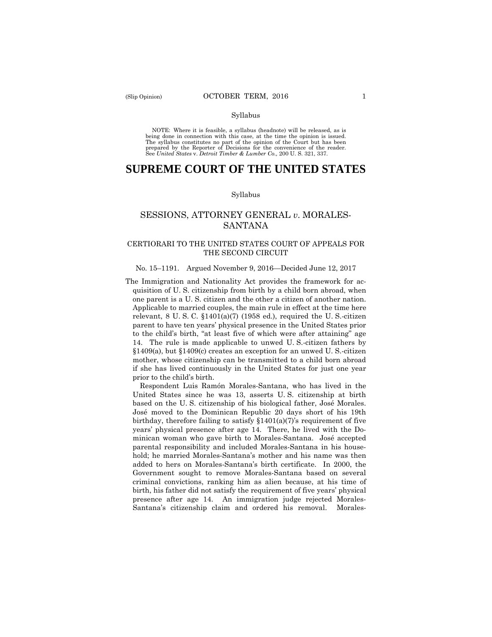NOTE: Where it is feasible, a syllabus (headnote) will be released, as is being done in connection with this case, at the time the opinion is issued. The syllabus constitutes no part of the opinion of the Court but has been<br>prepared by the Reporter of Decisions for the convenience of the reader.<br>See United States v. Detroit Timber & Lumber Co., 200 U.S. 321, 337.

# **SUPREME COURT OF THE UNITED STATES**

#### Syllabus

## SESSIONS, ATTORNEY GENERAL *v*. MORALES-SANTANA

## CERTIORARI TO THE UNITED STATES COURT OF APPEALS FOR THE SECOND CIRCUIT

## No. 15–1191. Argued November 9, 2016—Decided June 12, 2017

 one parent is a U. S. citizen and the other a citizen of another nation. to the child's birth, "at least five of which were after attaining" age The Immigration and Nationality Act provides the framework for acquisition of U. S. citizenship from birth by a child born abroad, when Applicable to married couples, the main rule in effect at the time here relevant,  $8 \text{ U. S. C. }$   $$1401(a)(7)$  (1958 ed.), required the U.S.-citizen parent to have ten years' physical presence in the United States prior 14. The rule is made applicable to unwed U. S.-citizen fathers by §1409(a), but §1409(c) creates an exception for an unwed U. S.-citizen mother, whose citizenship can be transmitted to a child born abroad if she has lived continuously in the United States for just one year prior to the child's birth.

 José moved to the Dominican Republic 20 days short of his 19th minican woman who gave birth to Morales-Santana. José accepted Respondent Luis Ramón Morales-Santana, who has lived in the United States since he was 13, asserts U. S. citizenship at birth based on the U. S. citizenship of his biological father, José Morales. birthday, therefore failing to satisfy  $$1401(a)(7)$ 's requirement of five years' physical presence after age 14. There, he lived with the Doparental responsibility and included Morales-Santana in his household; he married Morales-Santana's mother and his name was then added to hers on Morales-Santana's birth certificate. In 2000, the Government sought to remove Morales-Santana based on several criminal convictions, ranking him as alien because, at his time of birth, his father did not satisfy the requirement of five years' physical presence after age 14. An immigration judge rejected Morales-Santana's citizenship claim and ordered his removal. Morales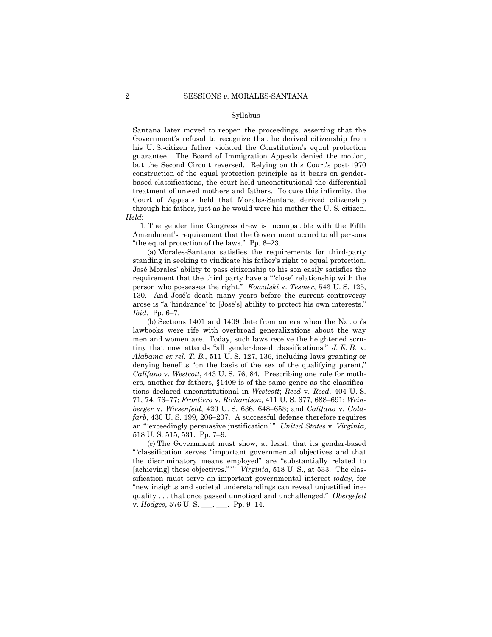treatment of unwed mothers and fathers. To cure this infirmity, the Santana later moved to reopen the proceedings, asserting that the Government's refusal to recognize that he derived citizenship from his U. S.-citizen father violated the Constitution's equal protection guarantee. The Board of Immigration Appeals denied the motion, but the Second Circuit reversed. Relying on this Court's post-1970 construction of the equal protection principle as it bears on genderbased classifications, the court held unconstitutional the differential Court of Appeals held that Morales-Santana derived citizenship through his father, just as he would were his mother the U. S. citizen. *Held*:

1. The gender line Congress drew is incompatible with the Fifth Amendment's requirement that the Government accord to all persons "the equal protection of the laws." Pp. 6–23.

(a) Morales-Santana satisfies the requirements for third-party standing in seeking to vindicate his father's right to equal protection. José Morales' ability to pass citizenship to his son easily satisfies the requirement that the third party have a " 'close' relationship with the person who possesses the right." *Kowalski* v. *Tesmer*, 543 U. S. 125, 130. And José's death many years before the current controversy arose is "a 'hindrance' to [José's] ability to protect his own interests." *Ibid.* Pp. 6–7.

(b) Sections 1401 and 1409 date from an era when the Nation's lawbooks were rife with overbroad generalizations about the way men and women are. Today, such laws receive the heightened scrutiny that now attends "all gender-based classifications," *J. E. B.* v. *Alabama ex rel. T. B.*, 511 U. S. 127, 136, including laws granting or denying benefits "on the basis of the sex of the qualifying parent," *Califano* v. *Westcott*, 443 U. S. 76, 84. Prescribing one rule for mothers, another for fathers, §1409 is of the same genre as the classifications declared unconstitutional in *Westcott*; *Reed* v. *Reed*, 404 U. S. 71, 74, 76–77; *Frontiero* v. *Richardson*, 411 U. S. 677, 688–691; *Weinberger* v. *Wiesenfeld*, 420 U. S. 636, 648–653; and *Califano* v. *Goldfarb*, 430 U. S. 199, 206–207. A successful defense therefore requires an "'exceedingly persuasive justification.'" United States v. Virginia, 518 U. S. 515, 531. Pp. 7–9.

[achieving] those objectives."" *Virginia*, 518 U.S., at 533. The clas quality . . . that once passed unnoticed and unchallenged." *Obergefell*  (c) The Government must show, at least, that its gender-based " 'classification serves "important governmental objectives and that the discriminatory means employed" are "substantially related to sification must serve an important governmental interest *today*, for "new insights and societal understandings can reveal unjustified inev. *Hodges*, 576 U. S. \_\_\_, \_\_\_. Pp. 9–14.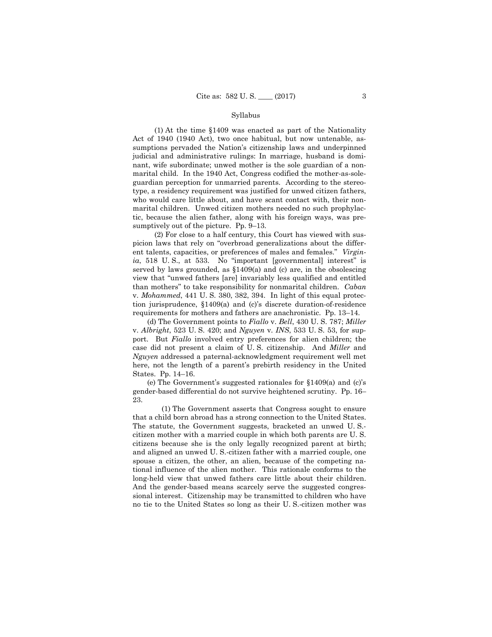(1) At the time §1409 was enacted as part of the Nationality Act of 1940 (1940 Act), two once habitual, but now untenable, assumptions pervaded the Nation's citizenship laws and underpinned judicial and administrative rulings: In marriage, husband is dominant, wife subordinate; unwed mother is the sole guardian of a nonmarital child. In the 1940 Act, Congress codified the mother-as-soleguardian perception for unmarried parents. According to the stereotype, a residency requirement was justified for unwed citizen fathers, who would care little about, and have scant contact with, their nonmarital children. Unwed citizen mothers needed no such prophylactic, because the alien father, along with his foreign ways, was presumptively out of the picture. Pp. 9–13.

 requirements for mothers and fathers are anachronistic. Pp. 13–14. (2) For close to a half century, this Court has viewed with suspicion laws that rely on "overbroad generalizations about the different talents, capacities, or preferences of males and females." *Virginia*, 518 U. S., at 533. No "important [governmental] interest" is served by laws grounded, as §1409(a) and (c) are, in the obsolescing view that "unwed fathers [are] invariably less qualified and entitled than mothers" to take responsibility for nonmarital children. *Caban*  v. *Mohammed*, 441 U. S. 380, 382, 394. In light of this equal protection jurisprudence, §1409(a) and (c)'s discrete duration-of-residence

(d) The Government points to *Fiallo* v. *Bell*, 430 U. S. 787; *Miller*  v. *Albright*, 523 U. S. 420; and *Nguyen* v. *INS*, 533 U. S. 53, for support. But *Fiallo* involved entry preferences for alien children; the case did not present a claim of U. S. citizenship. And *Miller* and *Nguyen* addressed a paternal-acknowledgment requirement well met here, not the length of a parent's prebirth residency in the United States. Pp. 14–16.

(e) The Government's suggested rationales for §1409(a) and (c)'s gender-based differential do not survive heightened scrutiny. Pp. 16– 23.

(1) The Government asserts that Congress sought to ensure that a child born abroad has a strong connection to the United States. The statute, the Government suggests, bracketed an unwed U. S. citizen mother with a married couple in which both parents are U. S. citizens because she is the only legally recognized parent at birth; and aligned an unwed U. S.-citizen father with a married couple, one spouse a citizen, the other, an alien, because of the competing national influence of the alien mother. This rationale conforms to the long-held view that unwed fathers care little about their children. And the gender-based means scarcely serve the suggested congressional interest. Citizenship may be transmitted to children who have no tie to the United States so long as their U. S.-citizen mother was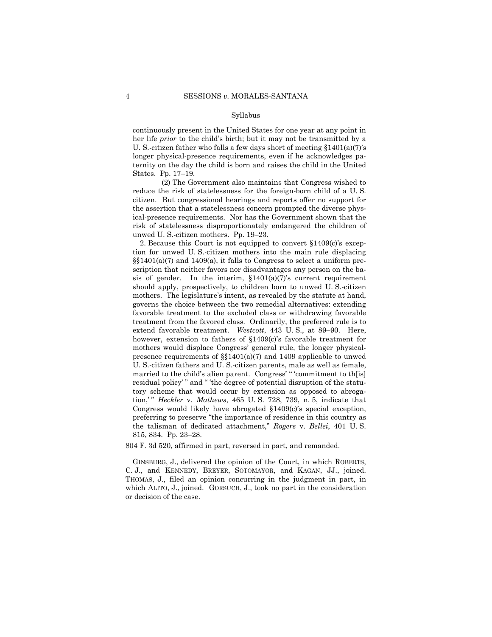continuously present in the United States for one year at any point in her life *prior* to the child's birth; but it may not be transmitted by a U. S.-citizen father who falls a few days short of meeting  $$1401(a)(7)$ 's longer physical-presence requirements, even if he acknowledges paternity on the day the child is born and raises the child in the United States. Pp. 17–19.

 (2) The Government also maintains that Congress wished to reduce the risk of statelessness for the foreign-born child of a U. S. citizen. But congressional hearings and reports offer no support for the assertion that a statelessness concern prompted the diverse physical-presence requirements. Nor has the Government shown that the risk of statelessness disproportionately endangered the children of unwed U. S.-citizen mothers. Pp. 19–23.

 extend favorable treatment. *Westcott*, 443 U. S., at 89–90. Here, 2. Because this Court is not equipped to convert §1409(c)'s exception for unwed U. S.-citizen mothers into the main rule displacing §§1401(a)(7) and 1409(a), it falls to Congress to select a uniform prescription that neither favors nor disadvantages any person on the basis of gender. In the interim,  $$1401(a)(7)$ 's current requirement should apply, prospectively, to children born to unwed U. S.-citizen mothers. The legislature's intent, as revealed by the statute at hand, governs the choice between the two remedial alternatives: extending favorable treatment to the excluded class or withdrawing favorable treatment from the favored class. Ordinarily, the preferred rule is to however, extension to fathers of §1409(c)'s favorable treatment for mothers would displace Congress' general rule, the longer physicalpresence requirements of §§1401(a)(7) and 1409 applicable to unwed U. S.-citizen fathers and U. S.-citizen parents, male as well as female, married to the child's alien parent. Congress' " 'commitment to th[is] residual policy' " and " 'the degree of potential disruption of the statutory scheme that would occur by extension as opposed to abrogation,' " *Heckler* v. *Mathews*, 465 U. S. 728, 739, n. 5, indicate that Congress would likely have abrogated §1409(c)'s special exception, preferring to preserve "the importance of residence in this country as the talisman of dedicated attachment," *Rogers* v. *Bellei*, 401 U. S. 815, 834. Pp. 23–28.

804 F. 3d 520, affirmed in part, reversed in part, and remanded.

 GINSBURG, J., delivered the opinion of the Court, in which ROBERTS, C. J., and KENNEDY, BREYER, SOTOMAYOR, and KAGAN, JJ., joined. which ALITO, J., joined. GORSUCH, J., took no part in the consideration THOMAS, J., filed an opinion concurring in the judgment in part, in or decision of the case.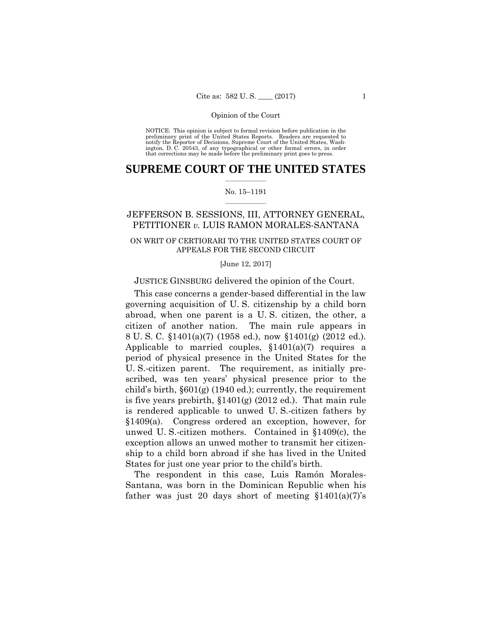preliminary print of the United States Reports. Readers are requested to notify the Reporter of Decisions, Supreme Court of the United States, Wash- ington, D. C. 20543, of any typographical or other formal errors, in order that corrections may be made before the preliminary print goes to press. NOTICE: This opinion is subject to formal revision before publication in the

## $\frac{1}{2}$  ,  $\frac{1}{2}$  ,  $\frac{1}{2}$  ,  $\frac{1}{2}$  ,  $\frac{1}{2}$  ,  $\frac{1}{2}$  ,  $\frac{1}{2}$ **SUPREME COURT OF THE UNITED STATES**

## $\frac{1}{2}$  ,  $\frac{1}{2}$  ,  $\frac{1}{2}$  ,  $\frac{1}{2}$  ,  $\frac{1}{2}$  ,  $\frac{1}{2}$ No. 15–1191

## JEFFERSON B. SESSIONS, III, ATTORNEY GENERAL, PETITIONER *v.* LUIS RAMON MORALES-SANTANA

## ON WRIT OF CERTIORARI TO THE UNITED STATES COURT OF APPEALS FOR THE SECOND CIRCUIT

#### [June 12, 2017]

## JUSTICE GINSBURG delivered the opinion of the Court.

 8 U. S. C. §1401(a)(7) (1958 ed.), now §1401(g) (2012 ed.). This case concerns a gender-based differential in the law governing acquisition of U. S. citizenship by a child born abroad, when one parent is a U. S. citizen, the other, a citizen of another nation. The main rule appears in Applicable to married couples,  $$1401(a)(7)$  requires a period of physical presence in the United States for the U. S.-citizen parent. The requirement, as initially prescribed, was ten years' physical presence prior to the child's birth, §601(g) (1940 ed.); currently, the requirement is five years prebirth, §1401(g) (2012 ed.). That main rule is rendered applicable to unwed U. S.-citizen fathers by §1409(a). Congress ordered an exception, however, for unwed U. S.-citizen mothers. Contained in §1409(c), the exception allows an unwed mother to transmit her citizenship to a child born abroad if she has lived in the United States for just one year prior to the child's birth.

The respondent in this case, Luis Ramón Morales-Santana, was born in the Dominican Republic when his father was just 20 days short of meeting  $$1401(a)(7)$ 's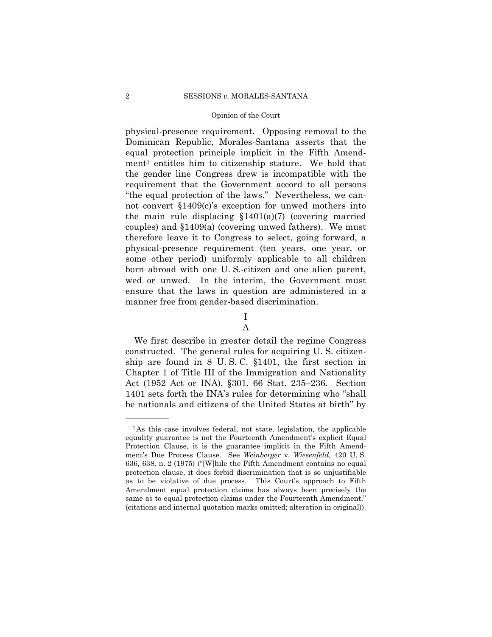physical-presence requirement. Opposing removal to the Dominican Republic, Morales-Santana asserts that the equal protection principle implicit in the Fifth Amendment<sup>1</sup> entitles him to citizenship stature. We hold that the gender line Congress drew is incompatible with the requirement that the Government accord to all persons "the equal protection of the laws." Nevertheless, we cannot convert §1409(c)'s exception for unwed mothers into the main rule displacing  $$1401(a)(7)$  (covering married couples) and §1409(a) (covering unwed fathers). We must therefore leave it to Congress to select, going forward, a physical-presence requirement (ten years, one year, or some other period) uniformly applicable to all children born abroad with one U. S.-citizen and one alien parent, wed or unwed. In the interim, the Government must ensure that the laws in question are administered in a manner free from gender-based discrimination.

> I A

We first describe in greater detail the regime Congress constructed. The general rules for acquiring U. S. citizenship are found in 8 U. S. C. §1401, the first section in Chapter 1 of Title III of the Immigration and Nationality Act (1952 Act or INA), §301, 66 Stat. 235–236. Section 1401 sets forth the INA's rules for determining who "shall be nationals and citizens of the United States at birth" by

<sup>&</sup>lt;sup>1</sup>As this case involves federal, not state, legislation, the applicable equality guarantee is not the Fourteenth Amendment's explicit Equal Protection Clause, it is the guarantee implicit in the Fifth Amendment's Due Process Clause. See *Weinberger* v. *Wiesenfeld*, 420 U. S. 636, 638, n. 2 (1975) ("[W]hile the Fifth Amendment contains no equal protection clause, it does forbid discrimination that is so unjustifiable as to be violative of due process. This Court's approach to Fifth Amendment equal protection claims has always been precisely the same as to equal protection claims under the Fourteenth Amendment." (citations and internal quotation marks omitted; alteration in original)).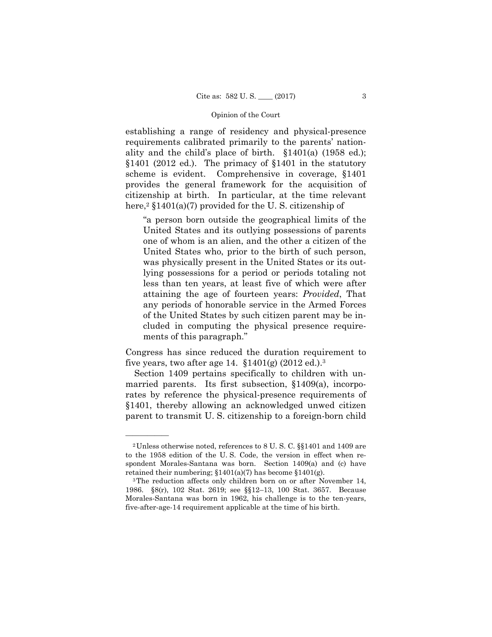establishing a range of residency and physical-presence requirements calibrated primarily to the parents' nationality and the child's place of birth. §1401(a) (1958 ed.); §1401 (2012 ed.). The primacy of §1401 in the statutory scheme is evident. Comprehensive in coverage, §1401 provides the general framework for the acquisition of citizenship at birth. In particular, at the time relevant here,<sup>2</sup>  $$1401(a)(7)$  provided for the U.S. citizenship of

"a person born outside the geographical limits of the United States and its outlying possessions of parents one of whom is an alien, and the other a citizen of the United States who, prior to the birth of such person, was physically present in the United States or its outlying possessions for a period or periods totaling not less than ten years, at least five of which were after attaining the age of fourteen years: *Provided*, That any periods of honorable service in the Armed Forces of the United States by such citizen parent may be included in computing the physical presence requirements of this paragraph."

Congress has since reduced the duration requirement to five years, two after age 14.  $$1401(g)$  (2012 ed.).<sup>3</sup>

Section 1409 pertains specifically to children with unmarried parents. Its first subsection, §1409(a), incorporates by reference the physical-presence requirements of §1401, thereby allowing an acknowledged unwed citizen parent to transmit U. S. citizenship to a foreign-born child

<sup>2</sup>Unless otherwise noted, references to 8 U. S. C. §§1401 and 1409 are to the 1958 edition of the U. S. Code, the version in effect when respondent Morales-Santana was born. Section 1409(a) and (c) have retained their numbering;  $\S1401(a)(7)$  has become  $\S1401(g)$ .<br><sup>3</sup>The reduction affects only children born on or after November 14,

<sup>1986. §8(</sup>r), 102 Stat. 2619; see §§12–13, 100 Stat. 3657. Because Morales-Santana was born in 1962, his challenge is to the ten-years, five-after-age-14 requirement applicable at the time of his birth.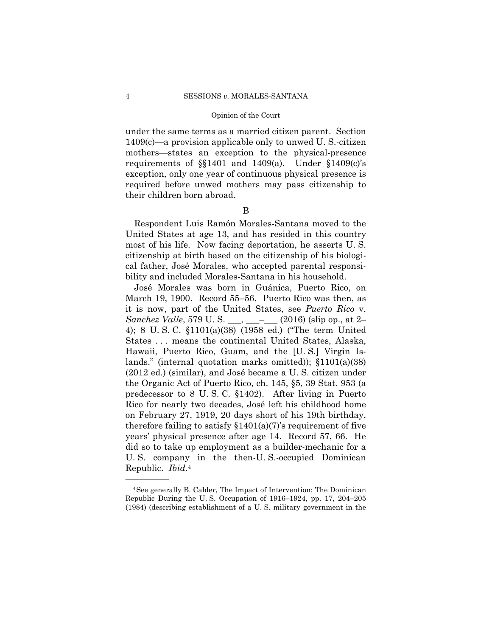under the same terms as a married citizen parent. Section 1409(c)—a provision applicable only to unwed U. S.-citizen mothers—states an exception to the physical-presence requirements of §§1401 and 1409(a). Under §1409(c)'s exception, only one year of continuous physical presence is required before unwed mothers may pass citizenship to their children born abroad.

## B

Respondent Luis Ramón Morales-Santana moved to the United States at age 13, and has resided in this country most of his life. Now facing deportation, he asserts U. S. citizenship at birth based on the citizenship of his biological father, José Morales, who accepted parental responsibility and included Morales-Santana in his household.

José Morales was born in Guánica, Puerto Rico, on March 19, 1900. Record 55–56. Puerto Rico was then, as it is now, part of the United States, see *Puerto Rico* v. *Sanchez Valle*, 579 U.S. \_\_\_, \_\_\_– (2016) (slip op., at 2– 4); 8 U. S. C. §1101(a)(38) (1958 ed.) ("The term United States . . . means the continental United States, Alaska, Hawaii, Puerto Rico, Guam, and the [U. S.] Virgin Islands." (internal quotation marks omitted)); §1101(a)(38) (2012 ed.) (similar), and José became a U. S. citizen under the Organic Act of Puerto Rico, ch. 145, §5, 39 Stat. 953 (a predecessor to 8 U. S. C. §1402). After living in Puerto Rico for nearly two decades, José left his childhood home on February 27, 1919, 20 days short of his 19th birthday, therefore failing to satisfy  $$1401(a)(7)$ 's requirement of five years' physical presence after age 14. Record 57, 66. He did so to take up employment as a builder-mechanic for a U. S. company in the then-U. S.-occupied Dominican Republic. *Ibid.*<sup>4</sup>

<sup>4</sup>See generally B. Calder, The Impact of Intervention: The Dominican Republic During the U. S. Occupation of 1916–1924, pp. 17, 204–205 (1984) (describing establishment of a U. S. military government in the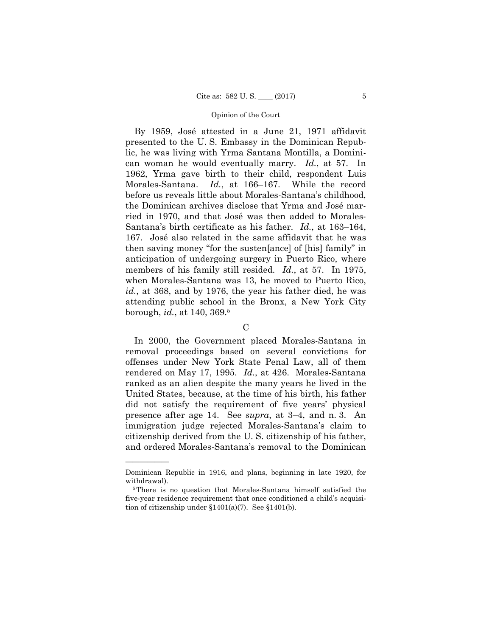members of his family still resided. *Id.*, at 57. In 1975, By 1959, José attested in a June 21, 1971 affidavit presented to the U. S. Embassy in the Dominican Republic, he was living with Yrma Santana Montilla, a Dominican woman he would eventually marry. *Id.*, at 57. In 1962, Yrma gave birth to their child, respondent Luis Morales-Santana. *Id.*, at 166–167. While the record before us reveals little about Morales-Santana's childhood, the Dominican archives disclose that Yrma and José married in 1970, and that José was then added to Morales-Santana's birth certificate as his father. *Id.*, at 163–164, 167. José also related in the same affidavit that he was then saving money "for the susten[ance] of [his] family" in anticipation of undergoing surgery in Puerto Rico, where when Morales-Santana was 13, he moved to Puerto Rico, *id.*, at 368, and by 1976, the year his father died, he was attending public school in the Bronx, a New York City borough, *id.*, at 140, 369.5

## C

In 2000, the Government placed Morales-Santana in removal proceedings based on several convictions for offenses under New York State Penal Law, all of them rendered on May 17, 1995. *Id.*, at 426. Morales-Santana ranked as an alien despite the many years he lived in the United States, because, at the time of his birth, his father did not satisfy the requirement of five years' physical presence after age 14. See *supra*, at 3–4, and n. 3. An immigration judge rejected Morales-Santana's claim to citizenship derived from the U. S. citizenship of his father, and ordered Morales-Santana's removal to the Dominican

Dominican Republic in 1916, and plans, beginning in late 1920, for withdrawal).<br><sup>5</sup>There is no question that Morales-Santana himself satisfied the

five-year residence requirement that once conditioned a child's acquisition of citizenship under  $$1401(a)(7)$ . See  $$1401(b)$ .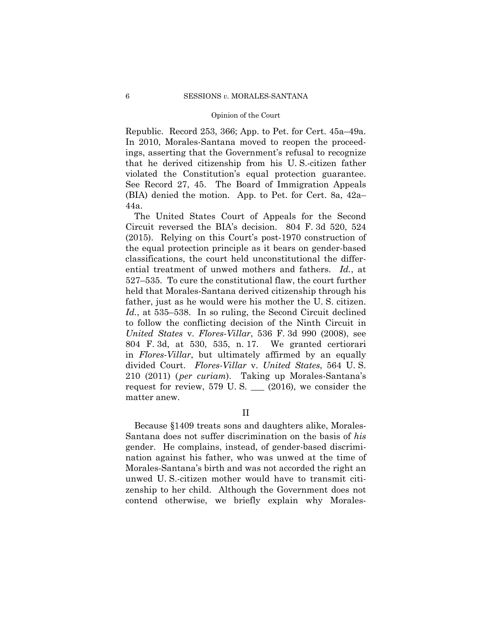Republic. Record 253, 366; App. to Pet. for Cert. 45a–49a. In 2010, Morales-Santana moved to reopen the proceedings, asserting that the Government's refusal to recognize that he derived citizenship from his U. S.-citizen father violated the Constitution's equal protection guarantee. See Record 27, 45. The Board of Immigration Appeals (BIA) denied the motion. App. to Pet. for Cert. 8a, 42a– 44a.

The United States Court of Appeals for the Second Circuit reversed the BIA's decision. 804 F. 3d 520, 524 (2015). Relying on this Court's post-1970 construction of the equal protection principle as it bears on gender-based classifications, the court held unconstitutional the differential treatment of unwed mothers and fathers. *Id.*, at 527–535. To cure the constitutional flaw, the court further held that Morales-Santana derived citizenship through his father, just as he would were his mother the U. S. citizen. *Id.*, at 535–538. In so ruling, the Second Circuit declined to follow the conflicting decision of the Ninth Circuit in *United States* v. *Flores-Villar*, 536 F. 3d 990 (2008), see 804 F. 3d, at 530, 535, n. 17. We granted certiorari in *Flores-Villar*, but ultimately affirmed by an equally divided Court. *Flores-Villar* v. *United States*, 564 U. S. 210 (2011) ( *per curiam*). Taking up Morales-Santana's request for review, 579 U.S.  $\_\_$  (2016), we consider the matter anew.

II

Because §1409 treats sons and daughters alike, Morales-Santana does not suffer discrimination on the basis of *his*  gender. He complains, instead, of gender-based discrimination against his father, who was unwed at the time of Morales-Santana's birth and was not accorded the right an unwed U. S.-citizen mother would have to transmit citizenship to her child. Although the Government does not contend otherwise, we briefly explain why Morales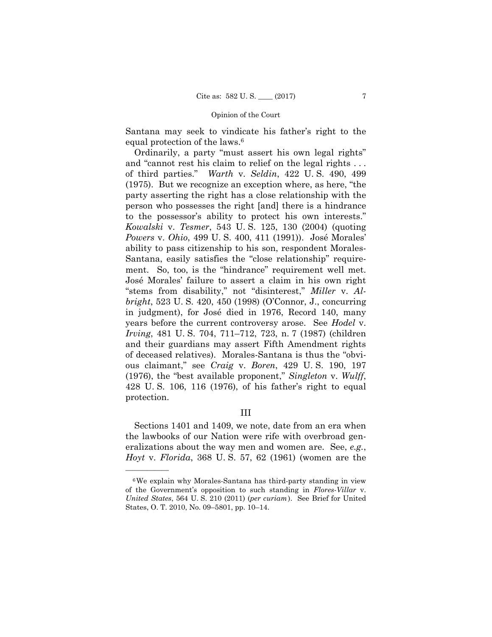Santana may seek to vindicate his father's right to the equal protection of the laws.6

Ordinarily, a party "must assert his own legal rights" and "cannot rest his claim to relief on the legal rights . . . of third parties." *Warth* v. *Seldin*, 422 U. S. 490, 499 (1975). But we recognize an exception where, as here, "the party asserting the right has a close relationship with the person who possesses the right [and] there is a hindrance to the possessor's ability to protect his own interests." *Kowalski* v. *Tesmer*, 543 U. S. 125, 130 (2004) (quoting *Powers* v. *Ohio*, 499 U. S. 400, 411 (1991)). José Morales' ability to pass citizenship to his son, respondent Morales-Santana, easily satisfies the "close relationship" requirement. So, too, is the "hindrance" requirement well met. José Morales' failure to assert a claim in his own right "stems from disability," not "disinterest," *Miller* v. *Albright*, 523 U. S. 420, 450 (1998) (O'Connor, J., concurring in judgment), for José died in 1976, Record 140, many years before the current controversy arose. See *Hodel* v. *Irving*, 481 U. S. 704, 711–712, 723, n. 7 (1987) (children and their guardians may assert Fifth Amendment rights of deceased relatives). Morales-Santana is thus the "obvious claimant," see *Craig* v. *Boren*, 429 U. S. 190, 197 (1976), the "best available proponent," *Singleton* v. *Wulff*, 428 U. S. 106, 116 (1976), of his father's right to equal protection.

## III

Sections 1401 and 1409, we note, date from an era when the lawbooks of our Nation were rife with overbroad generalizations about the way men and women are. See, *e.g.*, *Hoyt* v. *Florida*, 368 U. S. 57, 62 (1961) (women are the

<sup>6</sup>We explain why Morales-Santana has third-party standing in view of the Government's opposition to such standing in *Flores-Villar* v. *United States*, 564 U. S. 210 (2011) (*per curiam*). See Brief for United States, O. T. 2010, No. 09–5801, pp. 10–14.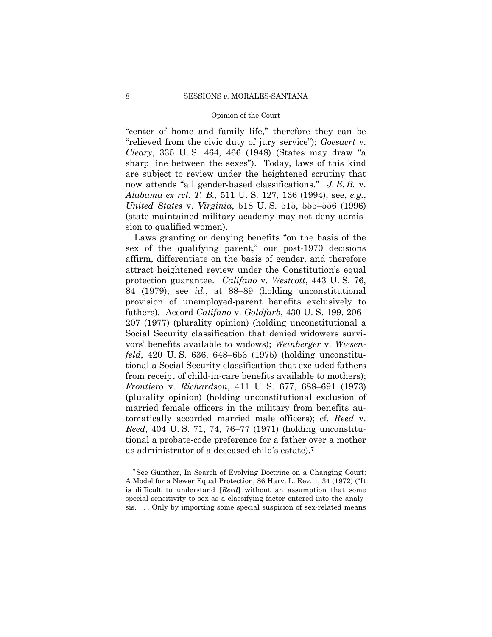now attends "all gender-based classifications." *J. E. B.* v. "center of home and family life," therefore they can be "relieved from the civic duty of jury service"); *Goesaert* v. *Cleary*, 335 U. S. 464, 466 (1948) (States may draw "a sharp line between the sexes"). Today, laws of this kind are subject to review under the heightened scrutiny that *Alabama ex rel. T. B.*, 511 U. S. 127, 136 (1994); see, *e.g.*, *United States* v. *Virginia*, 518 U. S. 515, 555–556 (1996) (state-maintained military academy may not deny admission to qualified women).

Laws granting or denying benefits "on the basis of the sex of the qualifying parent," our post-1970 decisions affirm, differentiate on the basis of gender, and therefore attract heightened review under the Constitution's equal protection guarantee. *Califano* v. *Westcott*, 443 U. S. 76, 84 (1979); see *id.*, at 88–89 (holding unconstitutional provision of unemployed-parent benefits exclusively to fathers). Accord *Califano* v. *Goldfarb*, 430 U. S. 199, 206– 207 (1977) (plurality opinion) (holding unconstitutional a Social Security classification that denied widowers survivors' benefits available to widows); *Weinberger* v. *Wiesenfeld*, 420 U. S. 636, 648–653 (1975) (holding unconstitutional a Social Security classification that excluded fathers from receipt of child-in-care benefits available to mothers); *Frontiero* v. *Richardson*, 411 U. S. 677, 688–691 (1973) (plurality opinion) (holding unconstitutional exclusion of married female officers in the military from benefits automatically accorded married male officers); cf. *Reed* v. *Reed*, 404 U. S. 71, 74, 76–77 (1971) (holding unconstitutional a probate-code preference for a father over a mother as administrator of a deceased child's estate).7

<sup>7</sup>See Gunther, In Search of Evolving Doctrine on a Changing Court: A Model for a Newer Equal Protection, 86 Harv. L. Rev. 1, 34 (1972) ("It is difficult to understand [*Reed*] without an assumption that some special sensitivity to sex as a classifying factor entered into the analysis. . . . Only by importing some special suspicion of sex-related means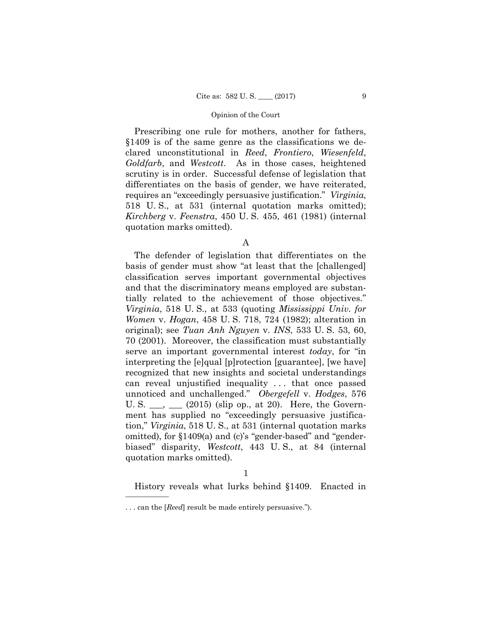Prescribing one rule for mothers, another for fathers, §1409 is of the same genre as the classifications we declared unconstitutional in *Reed*, *Frontiero*, *Wiesenfeld*, *Goldfarb*, and *Westcott*. As in those cases, heightened scrutiny is in order. Successful defense of legislation that differentiates on the basis of gender, we have reiterated, requires an "exceedingly persuasive justification." *Virginia*, 518 U. S., at 531 (internal quotation marks omitted); *Kirchberg* v. *Feenstra*, 450 U. S. 455, 461 (1981) (internal quotation marks omitted).

A

The defender of legislation that differentiates on the basis of gender must show "at least that the [challenged] classification serves important governmental objectives and that the discriminatory means employed are substantially related to the achievement of those objectives." *Virginia*, 518 U. S., at 533 (quoting *Mississippi Univ. for Women* v. *Hogan*, 458 U. S. 718, 724 (1982); alteration in original); see *Tuan Anh Nguyen* v. *INS*, 533 U. S. 53, 60, 70 (2001). Moreover, the classification must substantially serve an important governmental interest *today*, for "in interpreting the [e]qual [p]rotection [guarantee], [we have] recognized that new insights and societal understandings can reveal unjustified inequality . . . that once passed unnoticed and unchallenged." *Obergefell* v. *Hodges*, 576 U. S.  $\_\_\_\_\_\_\_\_\_$  (2015) (slip op., at 20). Here, the Government has supplied no "exceedingly persuasive justification," *Virginia*, 518 U. S., at 531 (internal quotation marks omitted), for §1409(a) and (c)'s "gender-based" and "genderbiased" disparity, *Westcott*, 443 U. S., at 84 (internal quotation marks omitted).

History reveals what lurks behind §1409. Enacted in

<sup>. . .</sup> can the [*Reed*] result be made entirely persuasive.").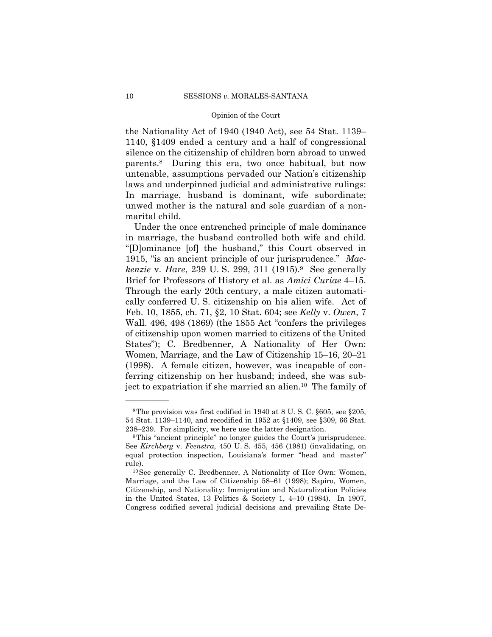the Nationality Act of 1940 (1940 Act), see 54 Stat. 1139– 1140, §1409 ended a century and a half of congressional silence on the citizenship of children born abroad to unwed parents.8 During this era, two once habitual, but now untenable, assumptions pervaded our Nation's citizenship laws and underpinned judicial and administrative rulings: In marriage, husband is dominant, wife subordinate; unwed mother is the natural and sole guardian of a nonmarital child.

 in marriage, the husband controlled both wife and child. Women, Marriage, and the Law of Citizenship 15–16, 20–21 Under the once entrenched principle of male dominance "[D]ominance [of] the husband," this Court observed in 1915, "is an ancient principle of our jurisprudence." *Mackenzie* v. *Hare*, 239 U. S. 299, 311 (1915).9 See generally Brief for Professors of History et al. as *Amici Curiae* 4–15. Through the early 20th century, a male citizen automatically conferred U. S. citizenship on his alien wife. Act of Feb. 10, 1855, ch. 71, §2, 10 Stat. 604; see *Kelly* v. *Owen*, 7 Wall. 496, 498 (1869) (the 1855 Act "confers the privileges of citizenship upon women married to citizens of the United States"); C. Bredbenner, A Nationality of Her Own: (1998). A female citizen, however, was incapable of conferring citizenship on her husband; indeed, she was subject to expatriation if she married an alien.10 The family of

 54 Stat. 1139–1140, and recodified in 1952 at §1409, see §309, 66 Stat. 8The provision was first codified in 1940 at 8 U. S. C. §605, see §205, 238–239. For simplicity, we here use the latter designation. 9This "ancient principle" no longer guides the Court's jurisprudence.

See *Kirchberg* v. *Feenstra*, 450 U. S. 455, 456 (1981) (invalidating, on equal protection inspection, Louisiana's former "head and master" rule). 10See generally C. Bredbenner, A Nationality of Her Own: Women,

Marriage, and the Law of Citizenship 58–61 (1998); Sapiro, Women, Citizenship, and Nationality: Immigration and Naturalization Policies in the United States, 13 Politics & Society 1, 4–10 (1984). In 1907, Congress codified several judicial decisions and prevailing State De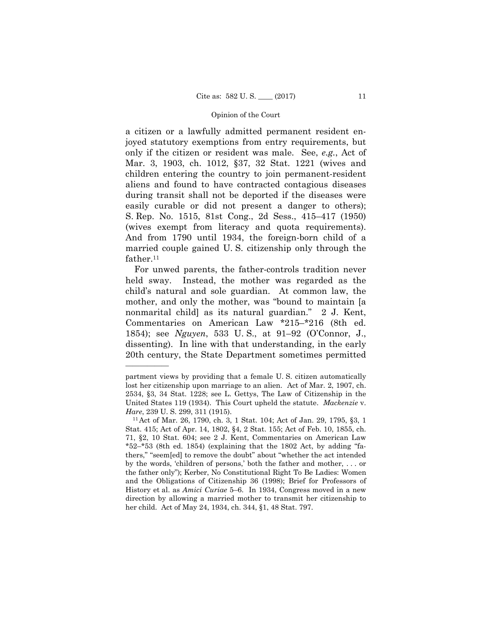a citizen or a lawfully admitted permanent resident enjoyed statutory exemptions from entry requirements, but only if the citizen or resident was male. See, *e.g.*, Act of Mar. 3, 1903, ch. 1012, §37, 32 Stat. 1221 (wives and children entering the country to join permanent-resident aliens and found to have contracted contagious diseases during transit shall not be deported if the diseases were easily curable or did not present a danger to others); S. Rep. No. 1515, 81st Cong., 2d Sess., 415–417 (1950) (wives exempt from literacy and quota requirements). And from 1790 until 1934, the foreign-born child of a married couple gained U. S. citizenship only through the father.<sup>11</sup>

For unwed parents, the father-controls tradition never held sway. Instead, the mother was regarded as the child's natural and sole guardian. At common law, the mother, and only the mother, was "bound to maintain [a nonmarital child] as its natural guardian." 2 J. Kent, Commentaries on American Law \*215–\*216 (8th ed. 1854); see *Nguyen*, 533 U. S., at 91–92 (O'Connor, J., dissenting). In line with that understanding, in the early 20th century, the State Department sometimes permitted

 United States 119 (1934). This Court upheld the statute. *Mackenzie* v. partment views by providing that a female U. S. citizen automatically lost her citizenship upon marriage to an alien. Act of Mar. 2, 1907, ch. 2534, §3, 34 Stat. 1228; see L. Gettys, The Law of Citizenship in the

*Hare*, 239 U. S. 299, 311 (1915).<br><sup>11</sup>Act of Mar. 26, 1790, ch. 3, 1 Stat. 104; Act of Jan. 29, 1795, §3, 1 Stat. 415; Act of Apr. 14, 1802, §4, 2 Stat. 155; Act of Feb. 10, 1855, ch. 71, §2, 10 Stat. 604; see 2 J. Kent, Commentaries on American Law \*52–\*53 (8th ed. 1854) (explaining that the 1802 Act, by adding "fathers," "seem[ed] to remove the doubt" about "whether the act intended by the words, 'children of persons,' both the father and mother, . . . or the father only"); Kerber, No Constitutional Right To Be Ladies: Women and the Obligations of Citizenship 36 (1998); Brief for Professors of History et al. as *Amici Curiae* 5–6. In 1934, Congress moved in a new direction by allowing a married mother to transmit her citizenship to her child. Act of May 24, 1934, ch. 344, §1, 48 Stat. 797.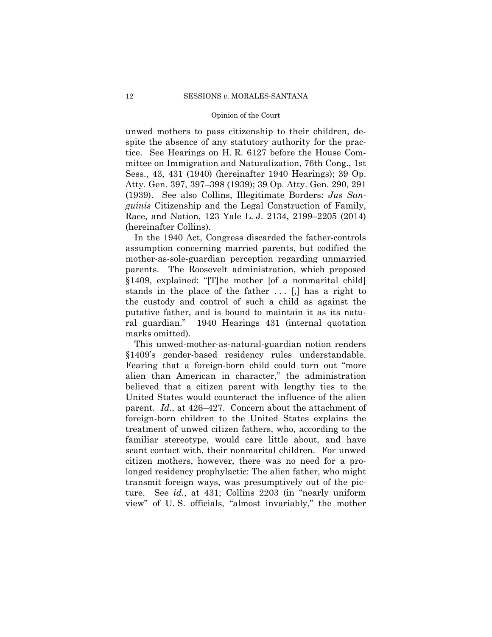unwed mothers to pass citizenship to their children, despite the absence of any statutory authority for the practice. See Hearings on H. R. 6127 before the House Committee on Immigration and Naturalization, 76th Cong., 1st Sess., 43, 431 (1940) (hereinafter 1940 Hearings); 39 Op. Atty. Gen. 397, 397–398 (1939); 39 Op. Atty. Gen. 290, 291 (1939). See also Collins, Illegitimate Borders: *Jus Sanguinis* Citizenship and the Legal Construction of Family, Race, and Nation, 123 Yale L. J. 2134, 2199–2205 (2014) (hereinafter Collins).

In the 1940 Act, Congress discarded the father-controls assumption concerning married parents, but codified the mother-as-sole-guardian perception regarding unmarried parents. The Roosevelt administration, which proposed §1409, explained: "[T]he mother [of a nonmarital child] stands in the place of the father  $\dots$  [,] has a right to the custody and control of such a child as against the putative father, and is bound to maintain it as its natural guardian." 1940 Hearings 431 (internal quotation marks omitted).

This unwed-mother-as-natural-guardian notion renders §1409's gender-based residency rules understandable. Fearing that a foreign-born child could turn out "more alien than American in character," the administration believed that a citizen parent with lengthy ties to the United States would counteract the influence of the alien parent. *Id.*, at 426–427. Concern about the attachment of foreign-born children to the United States explains the treatment of unwed citizen fathers, who, according to the familiar stereotype, would care little about, and have scant contact with, their nonmarital children. For unwed citizen mothers, however, there was no need for a prolonged residency prophylactic: The alien father, who might transmit foreign ways, was presumptively out of the picture. See *id.*, at 431; Collins 2203 (in "nearly uniform view" of U. S. officials, "almost invariably," the mother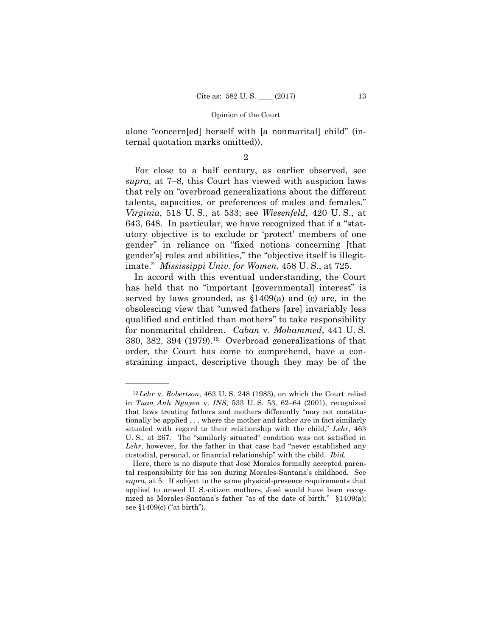alone "concern[ed] herself with [a nonmarital] child" (internal quotation marks omitted)).

## 2

For close to a half century, as earlier observed, see *supra*, at 7–8, this Court has viewed with suspicion laws that rely on "overbroad generalizations about the different talents, capacities, or preferences of males and females." *Virginia*, 518 U. S., at 533; see *Wiesenfeld*, 420 U. S., at 643, 648. In particular, we have recognized that if a "statutory objective is to exclude or 'protect' members of one gender" in reliance on "fixed notions concerning [that gender's] roles and abilities," the "objective itself is illegitimate." *Mississippi Univ. for Women*, 458 U. S., at 725.

 $380, 382, 394$  (1979).<sup>12</sup> Overbroad generalizations of that In accord with this eventual understanding, the Court has held that no "important [governmental] interest" is served by laws grounded, as §1409(a) and (c) are, in the obsolescing view that "unwed fathers [are] invariably less qualified and entitled than mothers" to take responsibility for nonmarital children. *Caban* v. *Mohammed*, 441 U. S. order, the Court has come to comprehend, have a constraining impact, descriptive though they may be of the

<sup>12</sup>*Lehr* v. *Robertson*, 463 U. S. 248 (1983), on which the Court relied in *Tuan Anh Nguyen* v. *INS*, 533 U. S. 53, 62–64 (2001), recognized that laws treating fathers and mothers differently "may not constitutionally be applied . . . where the mother and father are in fact similarly situated with regard to their relationship with the child," *Lehr*, 463 U. S., at 267. The "similarly situated" condition was not satisfied in *Lehr*, however, for the father in that case had "never established any custodial, personal, or financial relationship" with the child. *Ibid.* 

Here, there is no dispute that José Morales formally accepted parental responsibility for his son during Morales-Santana's childhood. See *supra*, at 5. If subject to the same physical-presence requirements that applied to unwed U. S.-citizen mothers, José would have been recognized as Morales-Santana's father "as of the date of birth." §1409(a); see §1409(c) ("at birth").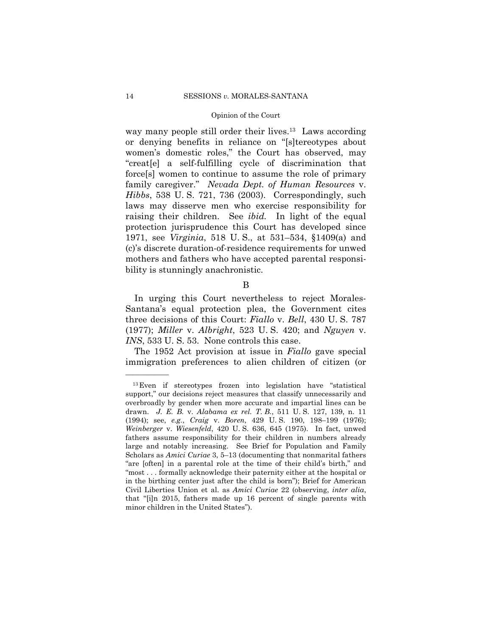way many people still order their lives.<sup>13</sup> Laws according or denying benefits in reliance on "[s]tereotypes about women's domestic roles," the Court has observed, may "creat[e] a self-fulfilling cycle of discrimination that force[s] women to continue to assume the role of primary family caregiver." *Nevada Dept. of Human Resources* v. *Hibbs*, 538 U. S. 721, 736 (2003). Correspondingly, such laws may disserve men who exercise responsibility for raising their children. See *ibid.* In light of the equal protection jurisprudence this Court has developed since 1971, see *Virginia*, 518 U. S., at 531–534, §1409(a) and (c)'s discrete duration-of-residence requirements for unwed mothers and fathers who have accepted parental responsibility is stunningly anachronistic.

B

In urging this Court nevertheless to reject Morales-Santana's equal protection plea, the Government cites three decisions of this Court: *Fiallo* v. *Bell*, 430 U. S. 787 (1977); *Miller* v. *Albright*, 523 U. S. 420; and *Nguyen* v. *INS*, 533 U.S. 53. None controls this case.

The 1952 Act provision at issue in *Fiallo* gave special immigration preferences to alien children of citizen (or

<sup>&</sup>lt;sup>13</sup> Even if stereotypes frozen into legislation have "statistical (1994); see, *e.g.*, *Craig* v. *Boren*, 429 U. S. 190, 198–199 (1976); support," our decisions reject measures that classify unnecessarily and overbroadly by gender when more accurate and impartial lines can be drawn. *J. E. B.* v. *Alabama ex rel. T. B.*, 511 U. S. 127, 139, n. 11 *Weinberger* v. *Wiesenfeld*, 420 U. S. 636, 645 (1975). In fact, unwed fathers assume responsibility for their children in numbers already large and notably increasing. See Brief for Population and Family Scholars as *Amici Curiae* 3, 5–13 (documenting that nonmarital fathers "are [often] in a parental role at the time of their child's birth," and "most . . . formally acknowledge their paternity either at the hospital or in the birthing center just after the child is born"); Brief for American Civil Liberties Union et al. as *Amici Curiae* 22 (observing, *inter alia*, that "[i]n 2015, fathers made up 16 percent of single parents with minor children in the United States").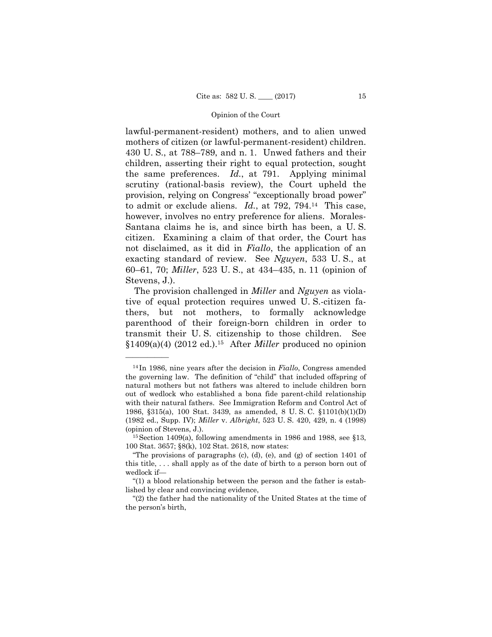to admit or exclude aliens. *Id.*, at 792, 794.14 This case, lawful-permanent-resident) mothers, and to alien unwed mothers of citizen (or lawful-permanent-resident) children. 430 U. S., at 788–789, and n. 1. Unwed fathers and their children, asserting their right to equal protection, sought the same preferences. *Id.*, at 791. Applying minimal scrutiny (rational-basis review), the Court upheld the provision, relying on Congress' "exceptionally broad power" however, involves no entry preference for aliens. Morales-Santana claims he is, and since birth has been, a U. S. citizen. Examining a claim of that order, the Court has not disclaimed, as it did in *Fiallo*, the application of an exacting standard of review. See *Nguyen*, 533 U. S., at 60–61, 70; *Miller*, 523 U. S., at 434–435, n. 11 (opinion of Stevens, J.).

 §1409(a)(4) (2012 ed.).15 After *Miller* produced no opinion The provision challenged in *Miller* and *Nguyen* as violative of equal protection requires unwed U. S.-citizen fathers, but not mothers, to formally acknowledge parenthood of their foreign-born children in order to transmit their U. S. citizenship to those children. See

 (1982 ed., Supp. IV); *Miller* v. *Albright*, 523 U. S. 420, 429, n. 4 (1998) <sup>14</sup> In 1986, nine years after the decision in *Fiallo*, Congress amended the governing law. The definition of "child" that included offspring of natural mothers but not fathers was altered to include children born out of wedlock who established a bona fide parent-child relationship with their natural fathers. See Immigration Reform and Control Act of 1986, §315(a), 100 Stat. 3439, as amended, 8 U. S. C. §1101(b)(1)(D) (opinion of Stevens, J.).

 $15$  Section 1409(a), following amendments in 1986 and 1988, see §13, 100 Stat. 3657; §8(k), 102 Stat. 2618, now states:

<sup>&</sup>quot;The provisions of paragraphs (c), (d), (e), and (g) of section 1401 of this title, . . . shall apply as of the date of birth to a person born out of wedlock if—

<sup>&</sup>quot;(1) a blood relationship between the person and the father is established by clear and convincing evidence,

<sup>&</sup>quot;(2) the father had the nationality of the United States at the time of the person's birth,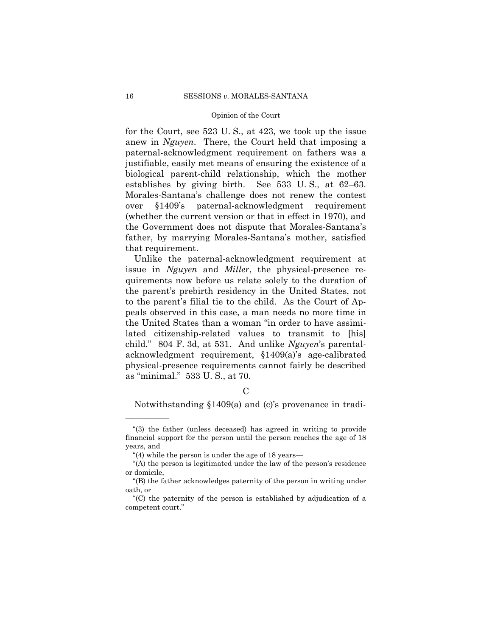for the Court, see 523 U. S., at 423, we took up the issue anew in *Nguyen*. There, the Court held that imposing a paternal-acknowledgment requirement on fathers was a justifiable, easily met means of ensuring the existence of a biological parent-child relationship, which the mother establishes by giving birth. See 533 U. S., at 62–63. Morales-Santana's challenge does not renew the contest over §1409's paternal-acknowledgment requirement (whether the current version or that in effect in 1970), and the Government does not dispute that Morales-Santana's father, by marrying Morales-Santana's mother, satisfied that requirement.

Unlike the paternal-acknowledgment requirement at issue in *Nguyen* and *Miller*, the physical-presence requirements now before us relate solely to the duration of the parent's prebirth residency in the United States, not to the parent's filial tie to the child. As the Court of Appeals observed in this case, a man needs no more time in the United States than a woman "in order to have assimilated citizenship-related values to transmit to [his] child." 804 F. 3d, at 531. And unlike *Nguyen*'s parentalacknowledgment requirement, §1409(a)'s age-calibrated physical-presence requirements cannot fairly be described as "minimal." 533 U. S., at 70.

## C

Notwithstanding §1409(a) and (c)'s provenance in tradi

<sup>&</sup>quot;(3) the father (unless deceased) has agreed in writing to provide financial support for the person until the person reaches the age of 18 years, and

<sup>&</sup>quot;(4) while the person is under the age of 18 years—

<sup>&</sup>quot;(A) the person is legitimated under the law of the person's residence or domicile,

<sup>&</sup>quot;(B) the father acknowledges paternity of the person in writing under oath, or

<sup>&</sup>quot;(C) the paternity of the person is established by adjudication of a competent court."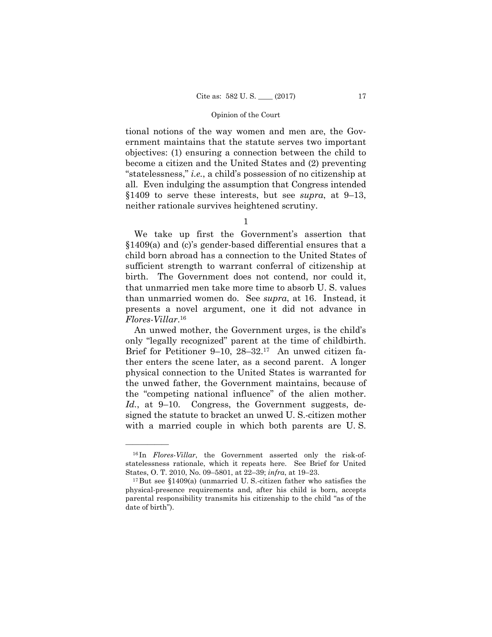tional notions of the way women and men are, the Government maintains that the statute serves two important objectives: (1) ensuring a connection between the child to become a citizen and the United States and (2) preventing "statelessness," *i.e.*, a child's possession of no citizenship at all. Even indulging the assumption that Congress intended §1409 to serve these interests, but see *supra*, at 9–13, neither rationale survives heightened scrutiny.

1

We take up first the Government's assertion that §1409(a) and (c)'s gender-based differential ensures that a child born abroad has a connection to the United States of sufficient strength to warrant conferral of citizenship at birth. The Government does not contend, nor could it, that unmarried men take more time to absorb U. S. values than unmarried women do. See *supra*, at 16. Instead, it presents a novel argument, one it did not advance in  $Flores-Villar.$ <sup>16</sup>

 signed the statute to bracket an unwed U. S.-citizen mother An unwed mother, the Government urges, is the child's only "legally recognized" parent at the time of childbirth. Brief for Petitioner 9–10, 28–32.17 An unwed citizen father enters the scene later, as a second parent. A longer physical connection to the United States is warranted for the unwed father, the Government maintains, because of the "competing national influence" of the alien mother. Id., at 9–10. Congress, the Government suggests, dewith a married couple in which both parents are U. S.

<sup>16</sup> In *Flores-Villar*, the Government asserted only the risk-ofstatelessness rationale, which it repeats here. See Brief for United States, O. T. 2010, No. 09–5801, at 22–39; *infra*, at 19–23. 17But see §1409(a) (unmarried U. S.-citizen father who satisfies the

physical-presence requirements and, after his child is born, accepts parental responsibility transmits his citizenship to the child "as of the date of birth").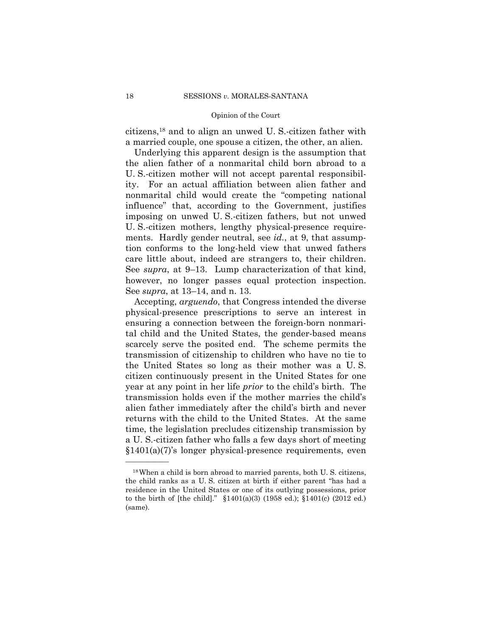citizens,18 and to align an unwed U. S.-citizen father with a married couple, one spouse a citizen, the other, an alien.

Underlying this apparent design is the assumption that the alien father of a nonmarital child born abroad to a U. S.-citizen mother will not accept parental responsibility. For an actual affiliation between alien father and nonmarital child would create the "competing national influence" that, according to the Government, justifies imposing on unwed U. S.-citizen fathers, but not unwed U. S.-citizen mothers, lengthy physical-presence requirements. Hardly gender neutral, see *id.*, at 9, that assumption conforms to the long-held view that unwed fathers care little about, indeed are strangers to, their children. See *supra*, at 9–13. Lump characterization of that kind, however, no longer passes equal protection inspection. See *supra*, at 13–14, and n. 13.

 Accepting, *arguendo*, that Congress intended the diverse physical-presence prescriptions to serve an interest in ensuring a connection between the foreign-born nonmarital child and the United States, the gender-based means scarcely serve the posited end. The scheme permits the transmission of citizenship to children who have no tie to the United States so long as their mother was a U. S. citizen continuously present in the United States for one year at any point in her life *prior* to the child's birth. The transmission holds even if the mother marries the child's alien father immediately after the child's birth and never returns with the child to the United States. At the same time, the legislation precludes citizenship transmission by a U. S.-citizen father who falls a few days short of meeting §1401(a)(7)'s longer physical-presence requirements, even

<sup>18</sup>When a child is born abroad to married parents, both U. S. citizens, the child ranks as a U. S. citizen at birth if either parent "has had a residence in the United States or one of its outlying possessions, prior to the birth of [the child]." §1401(a)(3) (1958 ed.); §1401(c) (2012 ed.) (same).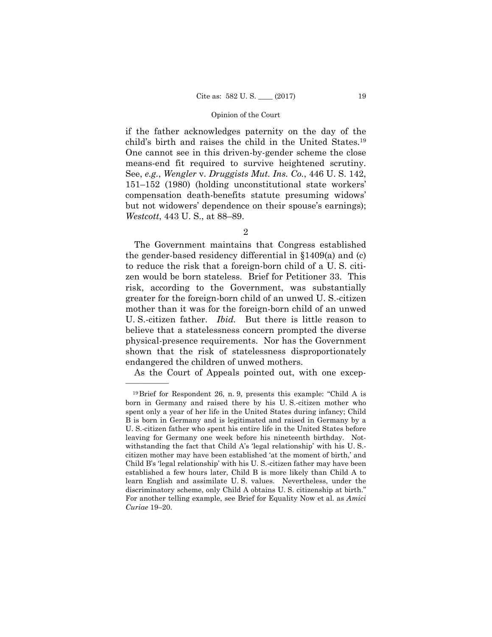if the father acknowledges paternity on the day of the child's birth and raises the child in the United States.19 One cannot see in this driven-by-gender scheme the close means-end fit required to survive heightened scrutiny. See, *e.g.*, *Wengler* v. *Druggists Mut. Ins. Co.*, 446 U. S. 142, 151–152 (1980) (holding unconstitutional state workers' compensation death-benefits statute presuming widows' but not widowers' dependence on their spouse's earnings); *Westcott*, 443 U. S., at 88–89.

2

The Government maintains that Congress established the gender-based residency differential in §1409(a) and (c) to reduce the risk that a foreign-born child of a U. S. citizen would be born stateless. Brief for Petitioner 33. This risk, according to the Government, was substantially greater for the foreign-born child of an unwed U. S.-citizen mother than it was for the foreign-born child of an unwed U. S.-citizen father. *Ibid.* But there is little reason to believe that a statelessness concern prompted the diverse physical-presence requirements. Nor has the Government shown that the risk of statelessness disproportionately endangered the children of unwed mothers.

As the Court of Appeals pointed out, with one excep

<sup>19</sup>Brief for Respondent 26, n. 9, presents this example: "Child A is born in Germany and raised there by his U. S.-citizen mother who spent only a year of her life in the United States during infancy; Child B is born in Germany and is legitimated and raised in Germany by a U. S.-citizen father who spent his entire life in the United States before leaving for Germany one week before his nineteenth birthday. Notwithstanding the fact that Child A's 'legal relationship' with his U. S. citizen mother may have been established 'at the moment of birth,' and Child B's 'legal relationship' with his U. S.-citizen father may have been established a few hours later, Child B is more likely than Child A to learn English and assimilate U. S. values. Nevertheless, under the discriminatory scheme, only Child A obtains U. S. citizenship at birth." For another telling example, see Brief for Equality Now et al. as *Amici Curiae* 19–20.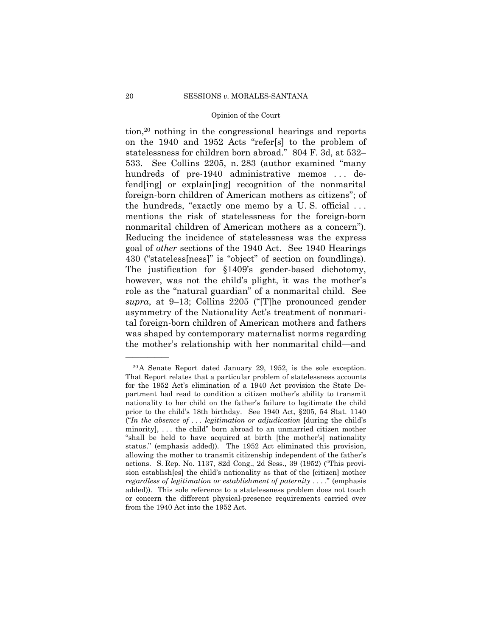tion,20 nothing in the congressional hearings and reports on the 1940 and 1952 Acts "refer[s] to the problem of statelessness for children born abroad." 804 F. 3d, at 532– 533. See Collins 2205, n. 283 (author examined "many hundreds of pre-1940 administrative memos ... defend[ing] or explain[ing] recognition of the nonmarital foreign-born children of American mothers as citizens"; of the hundreds, "exactly one memo by a U. S. official . . . mentions the risk of statelessness for the foreign-born nonmarital children of American mothers as a concern"). Reducing the incidence of statelessness was the express goal of *other* sections of the 1940 Act. See 1940 Hearings 430 ("stateless[ness]" is "object" of section on foundlings). The justification for §1409's gender-based dichotomy, however, was not the child's plight, it was the mother's role as the "natural guardian" of a nonmarital child. See *supra*, at 9–13; Collins 2205 ("[T]he pronounced gender asymmetry of the Nationality Act's treatment of nonmarital foreign-born children of American mothers and fathers was shaped by contemporary maternalist norms regarding the mother's relationship with her nonmarital child—and

 20A Senate Report dated January 29, 1952, is the sole exception. That Report relates that a particular problem of statelessness accounts for the 1952 Act's elimination of a 1940 Act provision the State Department had read to condition a citizen mother's ability to transmit nationality to her child on the father's failure to legitimate the child prior to the child's 18th birthday. See 1940 Act, §205, 54 Stat. 1140 ("*In the absence of . . . legitimation or adjudication* [during the child's minority], . . . the child" born abroad to an unmarried citizen mother "shall be held to have acquired at birth [the mother's] nationality status." (emphasis added)). The 1952 Act eliminated this provision, allowing the mother to transmit citizenship independent of the father's actions. S. Rep. No. 1137, 82d Cong., 2d Sess., 39 (1952) ("This provision establish[es] the child's nationality as that of the [citizen] mother *regardless of legitimation or establishment of paternity* . . . ." (emphasis added)). This sole reference to a statelessness problem does not touch or concern the different physical-presence requirements carried over from the 1940 Act into the 1952 Act.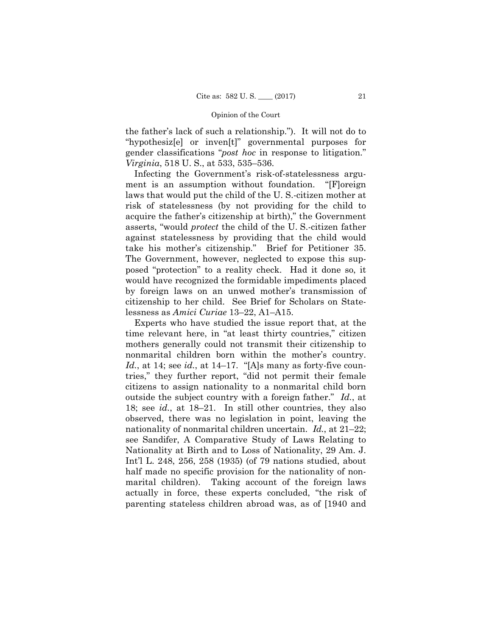the father's lack of such a relationship."). It will not do to "hypothesiz[e] or inven[t]" governmental purposes for gender classifications "*post hoc* in response to litigation." *Virginia*, 518 U. S., at 533, 535–536.

Infecting the Government's risk-of-statelessness argument is an assumption without foundation. "[F]oreign laws that would put the child of the U. S.-citizen mother at risk of statelessness (by not providing for the child to acquire the father's citizenship at birth)," the Government asserts, "would *protect* the child of the U. S.-citizen father against statelessness by providing that the child would take his mother's citizenship." Brief for Petitioner 35. The Government, however, neglected to expose this supposed "protection" to a reality check. Had it done so, it would have recognized the formidable impediments placed by foreign laws on an unwed mother's transmission of citizenship to her child. See Brief for Scholars on Statelessness as *Amici Curiae* 13–22, A1–A15.

 nonmarital children born within the mother's country. nationality of nonmarital children uncertain. *Id.*, at 21–22; Experts who have studied the issue report that, at the time relevant here, in "at least thirty countries," citizen mothers generally could not transmit their citizenship to *Id.*, at 14; see *id.*, at 14–17. "[A]s many as forty-five countries," they further report, "did not permit their female citizens to assign nationality to a nonmarital child born outside the subject country with a foreign father." *Id.*, at 18; see *id.*, at 18–21. In still other countries, they also observed, there was no legislation in point, leaving the see Sandifer, A Comparative Study of Laws Relating to Nationality at Birth and to Loss of Nationality, 29 Am. J. Int'l L. 248, 256, 258 (1935) (of 79 nations studied, about half made no specific provision for the nationality of nonmarital children). Taking account of the foreign laws actually in force, these experts concluded, "the risk of parenting stateless children abroad was, as of [1940 and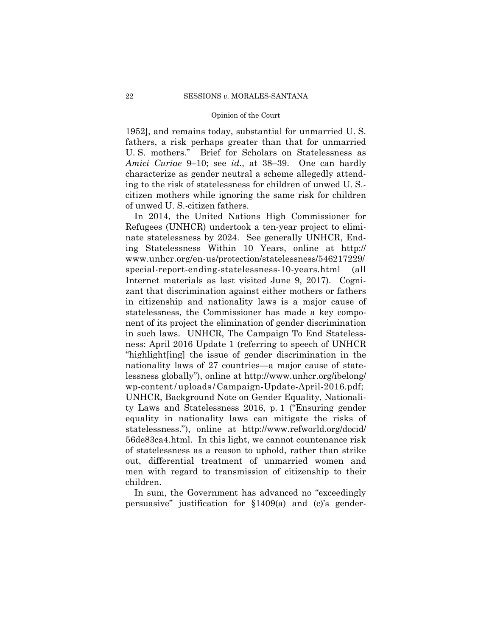1952], and remains today, substantial for unmarried U. S. fathers, a risk perhaps greater than that for unmarried U. S. mothers." Brief for Scholars on Statelessness as *Amici Curiae* 9–10; see *id.*, at 38–39. One can hardly characterize as gender neutral a scheme allegedly attending to the risk of statelessness for children of unwed U. S. citizen mothers while ignoring the same risk for children of unwed U. S.-citizen fathers.

 wp-content / uploads / Campaign-Update-April-2016.pdf; In 2014, the United Nations High Commissioner for Refugees (UNHCR) undertook a ten-year project to eliminate statelessness by 2024. See generally UNHCR, Ending Statelessness Within 10 Years, online at http:// www.unhcr.org/en-us/protection/statelessness/546217229/ special-report-ending-statelessness-10-years.html (all Internet materials as last visited June 9, 2017). Cognizant that discrimination against either mothers or fathers in citizenship and nationality laws is a major cause of statelessness, the Commissioner has made a key component of its project the elimination of gender discrimination in such laws. UNHCR, The Campaign To End Statelessness: April 2016 Update 1 (referring to speech of UNHCR "highlight[ing] the issue of gender discrimination in the nationality laws of 27 countries—a major cause of statelessness globally"), online at http://www.unhcr.org/ibelong/ UNHCR, Background Note on Gender Equality, Nationality Laws and Statelessness 2016, p. 1 ("Ensuring gender equality in nationality laws can mitigate the risks of statelessness."), online at http://www.refworld.org/docid/ 56de83ca4.html. In this light, we cannot countenance risk of statelessness as a reason to uphold, rather than strike out, differential treatment of unmarried women and men with regard to transmission of citizenship to their children.

In sum, the Government has advanced no "exceedingly persuasive" justification for §1409(a) and (c)'s gender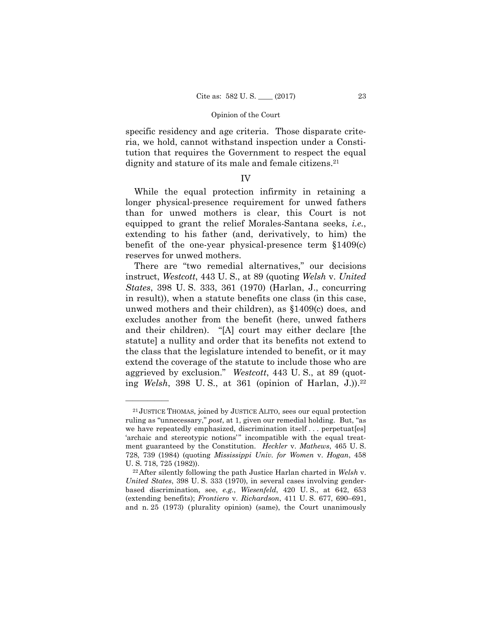specific residency and age criteria. Those disparate criteria, we hold, cannot withstand inspection under a Constitution that requires the Government to respect the equal dignity and stature of its male and female citizens.<sup>21</sup>

## IV

While the equal protection infirmity in retaining a longer physical-presence requirement for unwed fathers than for unwed mothers is clear, this Court is not equipped to grant the relief Morales-Santana seeks, *i.e.*, extending to his father (and, derivatively, to him) the benefit of the one-year physical-presence term §1409(c) reserves for unwed mothers.

 ing *Welsh*, 398 U. S., at 361 (opinion of Harlan, J.)).22 There are "two remedial alternatives," our decisions instruct, *Westcott*, 443 U. S., at 89 (quoting *Welsh* v. *United States*, 398 U. S. 333, 361 (1970) (Harlan, J., concurring in result)), when a statute benefits one class (in this case, unwed mothers and their children), as §1409(c) does, and excludes another from the benefit (here, unwed fathers and their children). "[A] court may either declare [the statute] a nullity and order that its benefits not extend to the class that the legislature intended to benefit, or it may extend the coverage of the statute to include those who are aggrieved by exclusion." *Westcott*, 443 U. S., at 89 (quot-

 ruling as "unnecessary," *post*, at 1, given our remedial holding. But, "as 21 JUSTICE THOMAS, joined by JUSTICE ALITO, sees our equal protection we have repeatedly emphasized, discrimination itself . . . perpetuat[es] 'archaic and stereotypic notions'" incompatible with the equal treatment guaranteed by the Constitution. *Heckler* v. *Mathews*, 465 U. S. 728, 739 (1984) (quoting *Mississippi Univ. for Women* v. *Hogan*, 458 U. S. 718, 725 (1982)).

<sup>22</sup>After silently following the path Justice Harlan charted in *Welsh* v. *United States*, 398 U. S. 333 (1970), in several cases involving genderbased discrimination, see, *e.g.*, *Wiesenfeld*, 420 U. S., at 642, 653 (extending benefits); *Frontiero* v. *Richardson*, 411 U. S. 677, 690–691, and n. 25 (1973) (plurality opinion) (same), the Court unanimously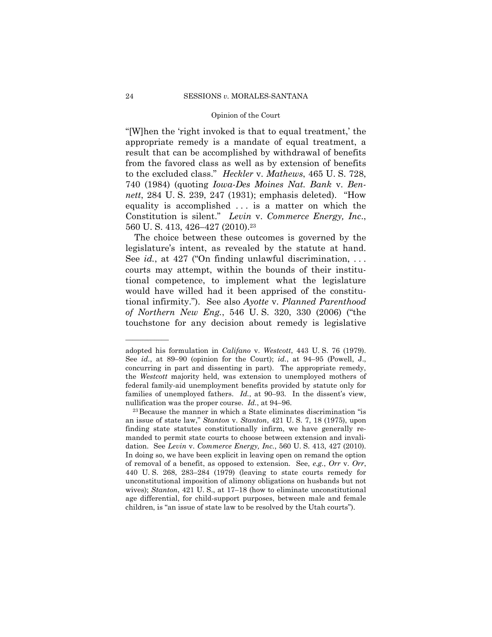"[W]hen the 'right invoked is that to equal treatment,' the appropriate remedy is a mandate of equal treatment, a result that can be accomplished by withdrawal of benefits from the favored class as well as by extension of benefits to the excluded class." *Heckler* v. *Mathews*, 465 U. S. 728, 740 (1984) (quoting *Iowa-Des Moines Nat. Bank* v. *Bennett*, 284 U. S. 239, 247 (1931); emphasis deleted). "How equality is accomplished . . . is a matter on which the Constitution is silent." *Levin* v. *Commerce Energy, Inc*., 560 U.S. 413, 426-427 (2010).<sup>23</sup>

The choice between these outcomes is governed by the legislature's intent, as revealed by the statute at hand. See *id.*, at 427 ("On finding unlawful discrimination, . . . courts may attempt, within the bounds of their institutional competence, to implement what the legislature would have willed had it been apprised of the constitutional infirmity."). See also *Ayotte* v. *Planned Parenthood of Northern New Eng.*, 546 U. S. 320, 330 (2006) ("the touchstone for any decision about remedy is legislative

adopted his formulation in *Califano* v. *Westcott*, 443 U. S. 76 (1979). See *id.*, at 89–90 (opinion for the Court); *id.*, at 94–95 (Powell, J., concurring in part and dissenting in part). The appropriate remedy, the *Westcott* majority held, was extension to unemployed mothers of federal family-aid unemployment benefits provided by statute only for families of unemployed fathers. *Id.*, at 90–93. In the dissent's view, nullification was the proper course. *Id.*, at 94–96.<br><sup>23</sup>Because the manner in which a State eliminates discrimination "is

an issue of state law," *Stanton* v. *Stanton*, 421 U. S. 7, 18 (1975), upon finding state statutes constitutionally infirm, we have generally remanded to permit state courts to choose between extension and invalidation. See *Levin* v. *Commerce Energy, Inc.*, 560 U. S. 413, 427 (2010). In doing so, we have been explicit in leaving open on remand the option of removal of a benefit, as opposed to extension. See, *e.g.*, *Orr* v. *Orr*, 440 U. S. 268, 283–284 (1979) (leaving to state courts remedy for unconstitutional imposition of alimony obligations on husbands but not wives); *Stanton*, 421 U. S., at 17–18 (how to eliminate unconstitutional age differential, for child-support purposes, between male and female children, is "an issue of state law to be resolved by the Utah courts").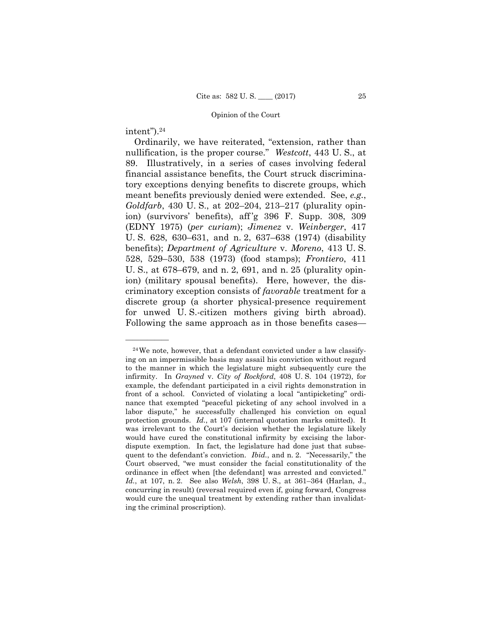## intent").24

——————

Ordinarily, we have reiterated, "extension, rather than nullification, is the proper course." *Westcott*, 443 U. S., at 89. Illustratively, in a series of cases involving federal financial assistance benefits, the Court struck discriminatory exceptions denying benefits to discrete groups, which meant benefits previously denied were extended. See, *e.g.*, *Goldfarb*, 430 U. S., at 202–204, 213–217 (plurality opinion) (survivors' benefits), aff 'g 396 F. Supp. 308, 309 (EDNY 1975) (*per curiam*); *Jimenez* v. *Weinberger*, 417 U. S. 628, 630–631, and n. 2, 637–638 (1974) (disability benefits); *Department of Agriculture* v. *Moreno*, 413 U. S. 528, 529–530, 538 (1973) (food stamps); *Frontiero*, 411 U. S., at 678–679, and n. 2, 691, and n. 25 (plurality opinion) (military spousal benefits). Here, however, the discriminatory exception consists of *favorable* treatment for a discrete group (a shorter physical-presence requirement for unwed U. S.-citizen mothers giving birth abroad). Following the same approach as in those benefits cases—

 $24$ We note, however, that a defendant convicted under a law classifying on an impermissible basis may assail his conviction without regard to the manner in which the legislature might subsequently cure the infirmity. In *Grayned* v. *City of Rockford*, 408 U. S. 104 (1972), for example, the defendant participated in a civil rights demonstration in front of a school. Convicted of violating a local "antipicketing" ordinance that exempted "peaceful picketing of any school involved in a labor dispute," he successfully challenged his conviction on equal protection grounds. *Id.*, at 107 (internal quotation marks omitted). It was irrelevant to the Court's decision whether the legislature likely would have cured the constitutional infirmity by excising the labordispute exemption. In fact, the legislature had done just that subsequent to the defendant's conviction. *Ibid.*, and n. 2. "Necessarily," the Court observed, "we must consider the facial constitutionality of the ordinance in effect when [the defendant] was arrested and convicted." *Id.*, at 107, n. 2. See also *Welsh*, 398 U. S., at 361–364 (Harlan, J., concurring in result) (reversal required even if, going forward, Congress would cure the unequal treatment by extending rather than invalidating the criminal proscription).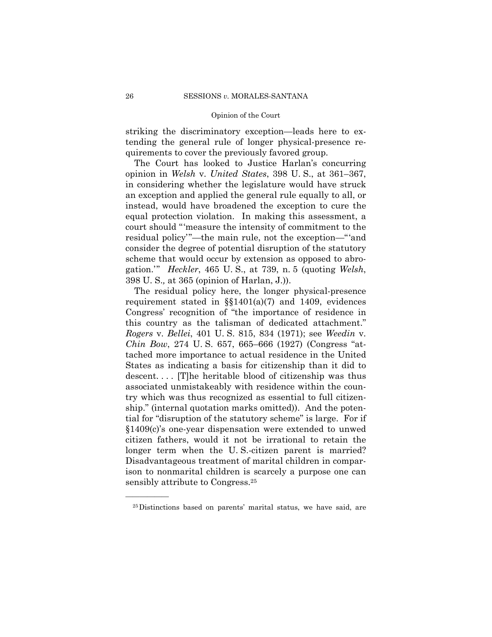striking the discriminatory exception—leads here to extending the general rule of longer physical-presence requirements to cover the previously favored group.

The Court has looked to Justice Harlan's concurring opinion in *Welsh* v. *United States*, 398 U. S., at 361–367, in considering whether the legislature would have struck an exception and applied the general rule equally to all, or instead, would have broadened the exception to cure the equal protection violation. In making this assessment, a court should "'measure the intensity of commitment to the residual policy'"—the main rule, not the exception—"'and consider the degree of potential disruption of the statutory scheme that would occur by extension as opposed to abrogation.'" *Heckler*, 465 U. S., at 739, n. 5 (quoting *Welsh*, 398 U. S.*,* at 365 (opinion of Harlan, J.)).

The residual policy here, the longer physical-presence requirement stated in  $\S$ §1401(a)(7) and 1409, evidences Congress' recognition of "the importance of residence in this country as the talisman of dedicated attachment." *Rogers* v. *Bellei*, 401 U. S. 815, 834 (1971); see *Weedin* v. *Chin Bow*, 274 U. S. 657, 665–666 (1927) (Congress "attached more importance to actual residence in the United States as indicating a basis for citizenship than it did to descent.... [T]he heritable blood of citizenship was thus associated unmistakeably with residence within the country which was thus recognized as essential to full citizenship." (internal quotation marks omitted)). And the potential for "disruption of the statutory scheme" is large. For if §1409(c)'s one-year dispensation were extended to unwed citizen fathers, would it not be irrational to retain the longer term when the U. S.-citizen parent is married? Disadvantageous treatment of marital children in comparison to nonmarital children is scarcely a purpose one can sensibly attribute to Congress.25

<sup>25</sup>Distinctions based on parents' marital status, we have said, are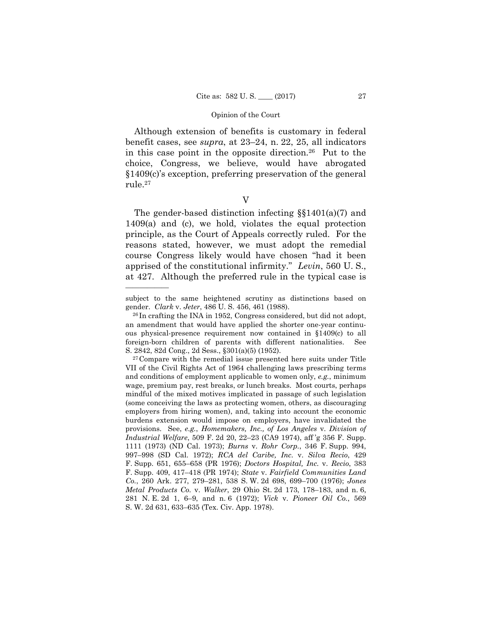Although extension of benefits is customary in federal benefit cases, see *supra*, at 23–24, n. 22, 25, all indicators in this case point in the opposite direction.26 Put to the choice, Congress, we believe, would have abrogated §1409(c)'s exception, preferring preservation of the general rule.27

V

The gender-based distinction infecting §§1401(a)(7) and 1409(a) and (c), we hold, violates the equal protection principle, as the Court of Appeals correctly ruled. For the reasons stated, however, we must adopt the remedial course Congress likely would have chosen "had it been apprised of the constitutional infirmity." *Levin*, 560 U. S., at 427. Although the preferred rule in the typical case is

subject to the same heightened scrutiny as distinctions based on gender. *Clark* v. *Jeter*, 486 U. S. 456, 461 (1988). 26 In crafting the INA in 1952, Congress considered, but did not adopt,

an amendment that would have applied the shorter one-year continuous physical-presence requirement now contained in §1409(c) to all foreign-born children of parents with different nationalities. See S. 2842, 82d Cong., 2d Sess., §301(a)(5) (1952).

<sup>27</sup>Compare with the remedial issue presented here suits under Title VII of the Civil Rights Act of 1964 challenging laws prescribing terms and conditions of employment applicable to women only, *e.g.*, minimum wage, premium pay, rest breaks, or lunch breaks. Most courts, perhaps mindful of the mixed motives implicated in passage of such legislation (some conceiving the laws as protecting women, others, as discouraging employers from hiring women), and, taking into account the economic burdens extension would impose on employers, have invalidated the provisions. See, *e.g.*, *Homemakers, Inc., of Los Angeles* v. *Division of Industrial Welfare*, 509 F. 2d 20, 22–23 (CA9 1974), aff 'g 356 F. Supp. 1111 (1973) (ND Cal. 1973); *Burns* v. *Rohr Corp.*, 346 F. Supp. 994, 997–998 (SD Cal. 1972); *RCA del Caribe, Inc.* v. *Silva Recio*, 429 F. Supp. 651, 655–658 (PR 1976); *Doctors Hospital, Inc.* v. *Recio*, 383 F. Supp. 409, 417–418 (PR 1974); *State* v. *Fairfield Communities Land Co.*, 260 Ark. 277, 279–281, 538 S. W. 2d 698, 699–700 (1976); *Jones Metal Products Co.* v. *Walker*, 29 Ohio St. 2d 173, 178–183, and n. 6, 281 N. E. 2d 1, 6–9, and n. 6 (1972); *Vick* v. *Pioneer Oil Co.*, 569 S. W. 2d 631, 633–635 (Tex. Civ. App. 1978).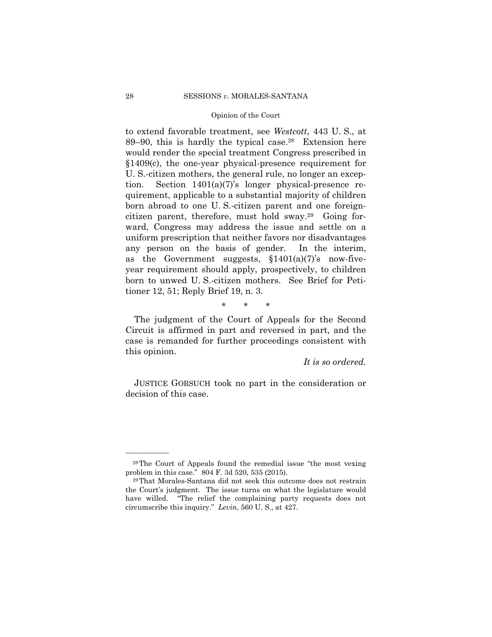$89-90$ , this is hardly the typical case.<sup>28</sup> Extension here to extend favorable treatment, see *Westcott*, 443 U. S., at would render the special treatment Congress prescribed in §1409(c), the one-year physical-presence requirement for U. S.-citizen mothers, the general rule, no longer an exception. Section 1401(a)(7)'s longer physical-presence requirement, applicable to a substantial majority of children born abroad to one U. S.-citizen parent and one foreigncitizen parent, therefore, must hold sway.29 Going forward, Congress may address the issue and settle on a uniform prescription that neither favors nor disadvantages any person on the basis of gender. In the interim, as the Government suggests,  $$1401(a)(7)$ 's now-fiveyear requirement should apply, prospectively, to children born to unwed U. S.-citizen mothers. See Brief for Petitioner 12, 51; Reply Brief 19, n. 3.

\* \* \*

The judgment of the Court of Appeals for the Second Circuit is affirmed in part and reversed in part, and the case is remanded for further proceedings consistent with this opinion.

*It is so ordered.*

 JUSTICE GORSUCH took no part in the consideration or decision of this case.

<sup>28</sup>The Court of Appeals found the remedial issue "the most vexing problem in this case." 804 F. 3d 520, 535 (2015). 29That Morales-Santana did not seek this outcome does not restrain

 circumscribe this inquiry." *Levin*, 560 U. S., at 427. the Court's judgment. The issue turns on what the legislature would have willed. "The relief the complaining party requests does not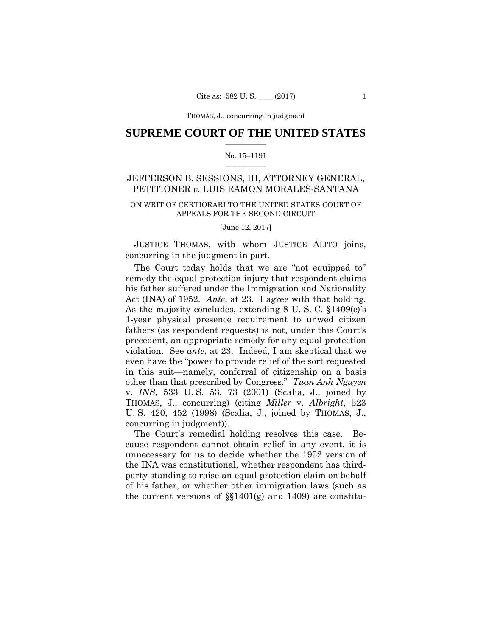THOMAS, J., concurring THOMAS, J., concurring in judgment

## $\frac{1}{2}$  ,  $\frac{1}{2}$  ,  $\frac{1}{2}$  ,  $\frac{1}{2}$  ,  $\frac{1}{2}$  ,  $\frac{1}{2}$  ,  $\frac{1}{2}$ **SUPREME COURT OF THE UNITED STATES**

## $\frac{1}{2}$  ,  $\frac{1}{2}$  ,  $\frac{1}{2}$  ,  $\frac{1}{2}$  ,  $\frac{1}{2}$  ,  $\frac{1}{2}$ No. 15–1191

## JEFFERSON B. SESSIONS, III, ATTORNEY GENERAL, PETITIONER *v.* LUIS RAMON MORALES-SANTANA

## ON WRIT OF CERTIORARI TO THE UNITED STATES COURT OF APPEALS FOR THE SECOND CIRCUIT

[June 12, 2017]

JUSTICE THOMAS, with whom JUSTICE ALITO joins, concurring in the judgment in part.

 Act (INA) of 1952. *Ante*, at 23. I agree with that holding. The Court today holds that we are "not equipped to" remedy the equal protection injury that respondent claims his father suffered under the Immigration and Nationality As the majority concludes, extending 8 U. S. C. §1409(c)'s 1-year physical presence requirement to unwed citizen fathers (as respondent requests) is not, under this Court's precedent, an appropriate remedy for any equal protection violation. See *ante*, at 23. Indeed, I am skeptical that we even have the "power to provide relief of the sort requested in this suit—namely, conferral of citizenship on a basis other than that prescribed by Congress." *Tuan Anh Nguyen*  v. *INS*, 533 U. S. 53, 73 (2001) (Scalia, J., joined by THOMAS, J., concurring) (citing *Miller* v. *Albright*, 523 U. S. 420, 452 (1998) (Scalia, J., joined by THOMAS, J., concurring in judgment)).

The Court's remedial holding resolves this case. Because respondent cannot obtain relief in any event, it is unnecessary for us to decide whether the 1952 version of the INA was constitutional, whether respondent has thirdparty standing to raise an equal protection claim on behalf of his father, or whether other immigration laws (such as the current versions of  $\S(1401(g)$  and 1409) are constitu-